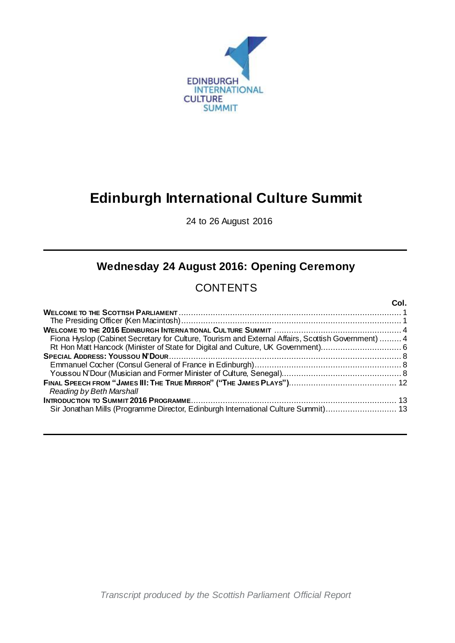

# **Edinburgh International Culture Summit**

24 to 26 August 2016

## **Wednesday 24 August 2016: Opening Ceremony**

## **CONTENTS**

|                                                                                                    | Col |
|----------------------------------------------------------------------------------------------------|-----|
|                                                                                                    |     |
|                                                                                                    |     |
|                                                                                                    |     |
| Fiona Hyslop (Cabinet Secretary for Culture, Tourism and External Affairs, Scottish Government)  4 |     |
|                                                                                                    |     |
|                                                                                                    |     |
|                                                                                                    |     |
|                                                                                                    |     |
|                                                                                                    |     |
| Reading by Beth Marshall                                                                           |     |
|                                                                                                    |     |
| Sir Jonathan Mills (Programme Director, Edinburgh International Culture Summit) 13                 |     |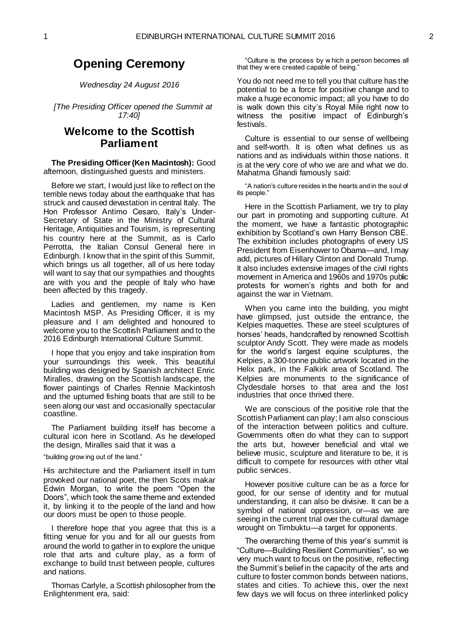## **Opening Ceremony**

*Wednesday 24 August 2016*

*[The Presiding Officer opened the Summit at 17:40]*

## <span id="page-2-0"></span>**Welcome to the Scottish Parliament**

<span id="page-2-1"></span>**The Presiding Officer (Ken Macintosh):** Good afternoon, distinguished guests and ministers.

Before we start, I would just like to reflect on the terrible news today about the earthquake that has struck and caused devastation in central Italy. The Hon Professor Antimo Cesaro, Italy's Under-Secretary of State in the Ministry of Cultural Heritage, Antiquities and Tourism, is representing his country here at the Summit, as is Carlo Perrotta, the Italian Consul General here in Edinburgh. I know that in the spirit of this Summit, which brings us all together, all of us here today will want to say that our sympathies and thoughts are with you and the people of Italy who have been affected by this tragedy.

Ladies and gentlemen, my name is Ken Macintosh MSP. As Presiding Officer, it is my pleasure and I am delighted and honoured to welcome you to the Scottish Parliament and to the 2016 Edinburgh International Culture Summit.

I hope that you enjoy and take inspiration from your surroundings this week. This beautiful building was designed by Spanish architect Enric Miralles, drawing on the Scottish landscape, the flower paintings of Charles Rennie Mackintosh and the upturned fishing boats that are still to be seen along our vast and occasionally spectacular coastline.

The Parliament building itself has become a cultural icon here in Scotland. As he developed the design, Miralles said that it was a

#### "building grow ing out of the land."

His architecture and the Parliament itself in turn provoked our national poet, the then Scots makar Edwin Morgan, to write the poem "Open the Doors", which took the same theme and extended it, by linking it to the people of the land and how our doors must be open to those people.

I therefore hope that you agree that this is a fitting venue for you and for all our guests from around the world to gather in to explore the unique role that arts and culture play, as a form of exchange to build trust between people, cultures and nations.

Thomas Carlyle, a Scottish philosopher from the Enlightenment era, said:

"Culture is the process by w hich a person becomes all that they w ere created capable of being."

You do not need me to tell you that culture has the potential to be a force for positive change and to make a huge economic impact; all you have to do is walk down this city's Royal Mile right now to witness the positive impact of Edinburgh's festivals.

Culture is essential to our sense of wellbeing and self-worth. It is often what defines us as nations and as individuals within those nations. It is at the very core of who we are and what we do. Mahatma Ghandi famously said:

"A nation's culture resides in the hearts and in the soul of its people."

Here in the Scottish Parliament, we try to play our part in promoting and supporting culture. At the moment, we have a fantastic photographic exhibition by Scotland's own Harry Benson CBE. The exhibition includes photographs of every US President from Eisenhower to Obama—and, I may add, pictures of Hillary Clinton and Donald Trump. It also includes extensive images of the civil rights movement in America and 1960s and 1970s public protests for women's rights and both for and against the war in Vietnam.

When you came into the building, you might have glimpsed, just outside the entrance, the Kelpies maquettes. These are steel sculptures of horses' heads, handcrafted by renowned Scottish sculptor Andy Scott. They were made as models for the world's largest equine sculptures, the Kelpies, a 300-tonne public artwork located in the Helix park, in the Falkirk area of Scotland. The Kelpies are monuments to the significance of Clydesdale horses to that area and the lost industries that once thrived there.

We are conscious of the positive role that the Scottish Parliament can play; I am also conscious of the interaction between politics and culture. Governments often do what they can to support the arts but, however beneficial and vital we believe music, sculpture and literature to be, it is difficult to compete for resources with other vital public services.

However positive culture can be as a force for good, for our sense of identity and for mutual understanding, it can also be divisive. It can be a symbol of national oppression, or—as we are seeing in the current trial over the cultural damage wrought on Timbuktu—a target for opponents.

The overarching theme of this year's summit is "Culture—Building Resilient Communities", so we very much want to focus on the positive, reflecting the Summit's belief in the capacity of the arts and culture to foster common bonds between nations, states and cities. To achieve this, over the next few days we will focus on three interlinked policy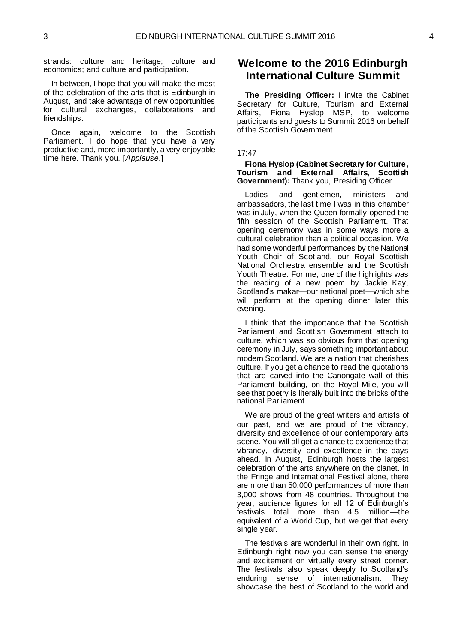strands: culture and heritage; culture and economics; and culture and participation.

In between, I hope that you will make the most of the celebration of the arts that is Edinburgh in August, and take advantage of new opportunities for cultural exchanges, collaborations and friendships.

Once again, welcome to the Scottish Parliament. I do hope that you have a very productive and, more importantly, a very enjoyable time here. Thank you. [*Applause*.]

### <span id="page-3-0"></span>**Welcome to the 2016 Edinburgh International Culture Summit**

**The Presiding Officer:** I invite the Cabinet Secretary for Culture, Tourism and External Affairs, Fiona Hyslop MSP, to welcome participants and guests to Summit 2016 on behalf of the Scottish Government.

#### 17:47

<span id="page-3-1"></span>**Fiona Hyslop (Cabinet Secretary for Culture, Tourism and External Affairs, Scottish Government):** Thank you, Presiding Officer.

Ladies and gentlemen, ministers and ambassadors, the last time I was in this chamber was in July, when the Queen formally opened the fifth session of the Scottish Parliament. That opening ceremony was in some ways more a cultural celebration than a political occasion. We had some wonderful performances by the National Youth Choir of Scotland, our Royal Scottish National Orchestra ensemble and the Scottish Youth Theatre. For me, one of the highlights was the reading of a new poem by Jackie Kay, Scotland's makar—our national poet—which she will perform at the opening dinner later this evening.

I think that the importance that the Scottish Parliament and Scottish Government attach to culture, which was so obvious from that opening ceremony in July, says something important about modern Scotland. We are a nation that cherishes culture. If you get a chance to read the quotations that are carved into the Canongate wall of this Parliament building, on the Royal Mile, you will see that poetry is literally built into the bricks of the national Parliament.

We are proud of the great writers and artists of our past, and we are proud of the vibrancy, diversity and excellence of our contemporary arts scene. You will all get a chance to experience that vibrancy, diversity and excellence in the days ahead. In August, Edinburgh hosts the largest celebration of the arts anywhere on the planet. In the Fringe and International Festival alone, there are more than 50,000 performances of more than 3,000 shows from 48 countries. Throughout the year, audience figures for all 12 of Edinburgh's festivals total more than 4.5 million—the equivalent of a World Cup, but we get that every single year.

The festivals are wonderful in their own right. In Edinburgh right now you can sense the energy and excitement on virtually every street corner. The festivals also speak deeply to Scotland's enduring sense of internationalism. They showcase the best of Scotland to the world and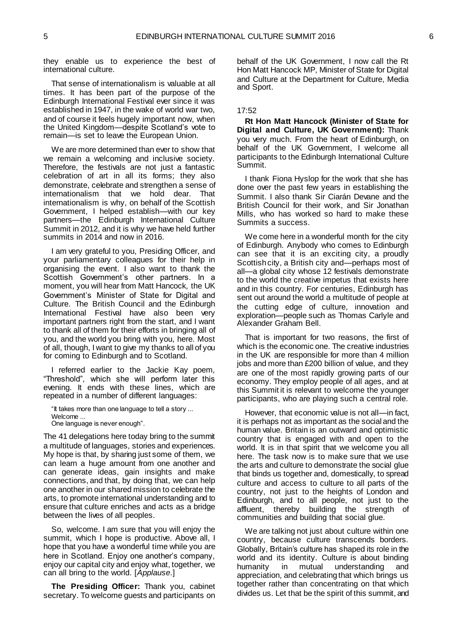they enable us to experience the best of international culture.

That sense of internationalism is valuable at all times. It has been part of the purpose of the Edinburgh International Festival ever since it was established in 1947, in the wake of world war two, and of course it feels hugely important now, when the United Kingdom—despite Scotland's vote to remain—is set to leave the European Union.

We are more determined than ever to show that we remain a welcoming and inclusive society. Therefore, the festivals are not just a fantastic celebration of art in all its forms; they also demonstrate, celebrate and strengthen a sense of internationalism that we hold dear. That internationalism is why, on behalf of the Scottish Government, I helped establish—with our key partners—the Edinburgh International Culture Summit in 2012, and it is why we have held further summits in 2014 and now in 2016.

I am very grateful to you, Presiding Officer, and your parliamentary colleagues for their help in organising the event. I also want to thank the Scottish Government's other partners. In a moment, you will hear from Matt Hancock, the UK Government's Minister of State for Digital and Culture. The British Council and the Edinburgh International Festival have also been very important partners right from the start, and I want to thank all of them for their efforts in bringing all of you, and the world you bring with you, here. Most of all, though, I want to give my thanks to all of you for coming to Edinburgh and to Scotland.

I referred earlier to the Jackie Kay poem, "Threshold", which she will perform later this evening. It ends with these lines, which are repeated in a number of different languages:

"It takes more than one language to tell a story ... Welcome ...

One language is never enough".

The 41 delegations here today bring to the summit a multitude of languages, stories and experiences. My hope is that, by sharing just some of them, we can learn a huge amount from one another and can generate ideas, gain insights and make connections, and that, by doing that, we can help one another in our shared mission to celebrate the arts, to promote international understanding and to ensure that culture enriches and acts as a bridge between the lives of all peoples.

So, welcome. I am sure that you will enjoy the summit, which I hope is productive. Above all, I hope that you have a wonderful time while you are here in Scotland. Enjoy one another's company, enjoy our capital city and enjoy what, together, we can all bring to the world. [*Applause*.]

**The Presiding Officer:** Thank you, cabinet secretary. To welcome guests and participants on

behalf of the UK Government, I now call the Rt Hon Matt Hancock MP, Minister of State for Digital and Culture at the Department for Culture, Media and Sport.

#### 17:52

<span id="page-4-0"></span>**Rt Hon Matt Hancock (Minister of State for Digital and Culture, UK Government):** Thank you very much. From the heart of Edinburgh, on behalf of the UK Government, I welcome all participants to the Edinburgh International Culture Summit.

I thank Fiona Hyslop for the work that she has done over the past few years in establishing the Summit. I also thank Sir Ciarán Devane and the British Council for their work, and Sir Jonathan Mills, who has worked so hard to make these Summits a success.

We come here in a wonderful month for the city of Edinburgh. Anybody who comes to Edinburgh can see that it is an exciting city, a proudly Scottish city, a British city and—perhaps most of all—a global city whose 12 festivals demonstrate to the world the creative impetus that exists here and in this country. For centuries, Edinburgh has sent out around the world a multitude of people at the cutting edge of culture, innovation and exploration—people such as Thomas Carlyle and Alexander Graham Bell.

That is important for two reasons, the first of which is the economic one. The creative industries in the UK are responsible for more than 4 million jobs and more than £200 billion of value, and they are one of the most rapidly growing parts of our economy. They employ people of all ages, and at this Summit it is relevant to welcome the younger participants, who are playing such a central role.

However, that economic value is not all—in fact, it is perhaps not as important as the social and the human value. Britain is an outward and optimistic country that is engaged with and open to the world. It is in that spirit that we welcome you all here. The task now is to make sure that we use the arts and culture to demonstrate the social glue that binds us together and, domestically, to spread culture and access to culture to all parts of the country, not just to the heights of London and Edinburgh, and to all people, not just to the affluent, thereby building the strength of communities and building that social glue.

We are talking not just about culture within one country, because culture transcends borders. Globally, Britain's culture has shaped its role in the world and its identity. Culture is about binding humanity in mutual understanding and appreciation, and celebrating that which brings us together rather than concentrating on that which divides us. Let that be the spirit of this summit, and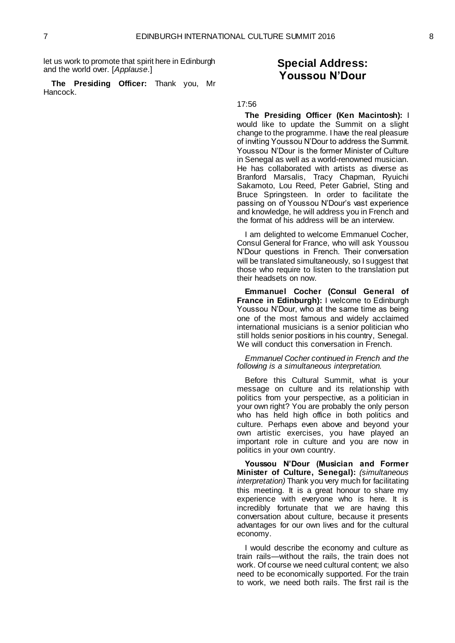let us work to promote that spirit here in Edinburgh and the world over. [*Applause*.]

**The Presiding Officer:** Thank you, Mr Hancock.

### **Special Address: Youssou N'Dour**

#### <span id="page-5-0"></span>17:56

**The Presiding Officer (Ken Macintosh):** I would like to update the Summit on a slight change to the programme. I have the real pleasure of inviting Youssou N'Dour to address the Summit. Youssou N'Dour is the former Minister of Culture in Senegal as well as a world-renowned musician. He has collaborated with artists as diverse as Branford Marsalis, Tracy Chapman, Ryuichi Sakamoto, Lou Reed, Peter Gabriel, Sting and Bruce Springsteen. In order to facilitate the passing on of Youssou N'Dour's vast experience and knowledge, he will address you in French and the format of his address will be an interview.

I am delighted to welcome Emmanuel Cocher, Consul General for France, who will ask Youssou N'Dour questions in French. Their conversation will be translated simultaneously, so I suggest that those who require to listen to the translation put their headsets on now.

<span id="page-5-1"></span>**Emmanuel Cocher (Consul General of France in Edinburgh):** I welcome to Edinburgh Youssou N'Dour, who at the same time as being one of the most famous and widely acclaimed international musicians is a senior politician who still holds senior positions in his country, Senegal. We will conduct this conversation in French.

*Emmanuel Cocher continued in French and the following is a simultaneous interpretation.*

Before this Cultural Summit, what is your message on culture and its relationship with politics from your perspective, as a politician in your own right? You are probably the only person who has held high office in both politics and culture. Perhaps even above and beyond your own artistic exercises, you have played an important role in culture and you are now in politics in your own country.

<span id="page-5-2"></span>**Youssou N'Dour (Musician and Former Minister of Culture, Senegal):** *(simultaneous interpretation)* Thank you very much for facilitating this meeting. It is a great honour to share my experience with everyone who is here. It is incredibly fortunate that we are having this conversation about culture, because it presents advantages for our own lives and for the cultural economy.

I would describe the economy and culture as train rails—without the rails, the train does not work. Of course we need cultural content; we also need to be economically supported. For the train to work, we need both rails. The first rail is the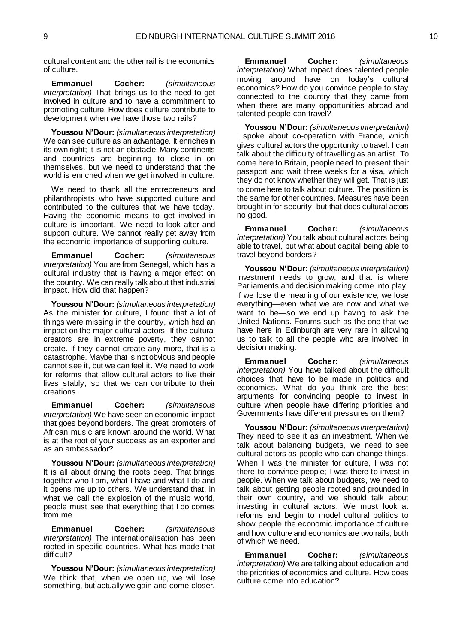cultural content and the other rail is the economics of culture.

**Emmanuel Cocher:** *(simultaneous interpretation)* That brings us to the need to get involved in culture and to have a commitment to promoting culture. How does culture contribute to development when we have those two rails?

**Youssou N'Dour:** *(simultaneous interpretation)* We can see culture as an advantage. It enriches in its own right; it is not an obstacle. Many continents and countries are beginning to close in on themselves, but we need to understand that the world is enriched when we get involved in culture.

We need to thank all the entrepreneurs and philanthropists who have supported culture and contributed to the cultures that we have today. Having the economic means to get involved in culture is important. We need to look after and support culture. We cannot really get away from the economic importance of supporting culture.

**Emmanuel Cocher:** *(simultaneous interpretation)* You are from Senegal, which has a cultural industry that is having a major effect on the country. We can really talk about that industrial impact. How did that happen?

**Youssou N'Dour:** *(simultaneous interpretation)*  As the minister for culture, I found that a lot of things were missing in the country, which had an impact on the major cultural actors. If the cultural creators are in extreme poverty, they cannot create. If they cannot create any more, that is a catastrophe. Maybe that is not obvious and people cannot see it, but we can feel it. We need to work for reforms that allow cultural actors to live their lives stably, so that we can contribute to their creations.

**Emmanuel Cocher:** *(simultaneous interpretation)* We have seen an economic impact that goes beyond borders. The great promoters of African music are known around the world. What is at the root of your success as an exporter and as an ambassador?

**Youssou N'Dour:** *(simultaneous interpretation)*  It is all about driving the roots deep. That brings together who I am, what I have and what I do and it opens me up to others. We understand that, in what we call the explosion of the music world, people must see that everything that I do comes from me.

**Emmanuel Cocher:** *(simultaneous interpretation)* The internationalisation has been rooted in specific countries. What has made that difficult?

**Youssou N'Dour:** *(simultaneous interpretation)*  We think that, when we open up, we will lose something, but actually we gain and come closer.

**Emmanuel Cocher:** *(simultaneous interpretation)* What impact does talented people moving around have on today's cultural economics? How do you convince people to stay connected to the country that they came from when there are many opportunities abroad and talented people can travel?

**Youssou N'Dour:** *(simultaneous interpretation)*  I spoke about co-operation with France, which gives cultural actors the opportunity to travel. I can talk about the difficulty of travelling as an artist. To come here to Britain, people need to present their passport and wait three weeks for a visa, which they do not know whether they will get. That is just to come here to talk about culture. The position is the same for other countries. Measures have been brought in for security, but that does cultural actors no good.

**Emmanuel Cocher:** *(simultaneous interpretation)* You talk about cultural actors being able to travel, but what about capital being able to travel beyond borders?

**Youssou N'Dour:** *(simultaneous interpretation)* Investment needs to grow, and that is where Parliaments and decision making come into play. If we lose the meaning of our existence, we lose everything—even what we are now and what we want to be—so we end up having to ask the United Nations. Forums such as the one that we have here in Edinburgh are very rare in allowing us to talk to all the people who are involved in decision making.

**Emmanuel Cocher:** *(simultaneous interpretation)* You have talked about the difficult choices that have to be made in politics and economics. What do you think are the best arguments for convincing people to invest in culture when people have differing priorities and Governments have different pressures on them?

**Youssou N'Dour:** *(simultaneous interpretation)* They need to see it as an investment. When we talk about balancing budgets, we need to see cultural actors as people who can change things. When I was the minister for culture, I was not there to convince people; I was there to invest in people. When we talk about budgets, we need to talk about getting people rooted and grounded in their own country, and we should talk about investing in cultural actors. We must look at reforms and begin to model cultural politics to show people the economic importance of culture and how culture and economics are two rails, both of which we need.

**Emmanuel Cocher:** *(simultaneous interpretation)* We are talking about education and the priorities of economics and culture. How does culture come into education?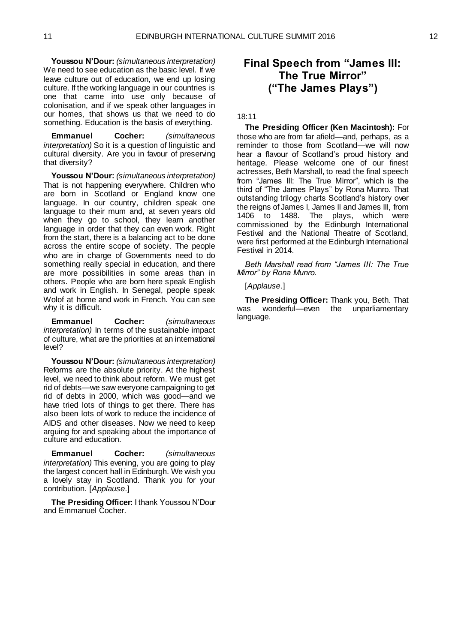**Youssou N'Dour:** *(simultaneous interpretation)* We need to see education as the basic level. If we leave culture out of education, we end up losing culture. If the working language in our countries is one that came into use only because of colonisation, and if we speak other languages in our homes, that shows us that we need to do something. Education is the basis of everything.

**Emmanuel Cocher:** *(simultaneous interpretation)* So it is a question of linguistic and cultural diversity. Are you in favour of preserving that diversity?

**Youssou N'Dour:** *(simultaneous interpretation)* That is not happening everywhere. Children who are born in Scotland or England know one language. In our country, children speak one language to their mum and, at seven years old when they go to school, they learn another language in order that they can even work. Right from the start, there is a balancing act to be done across the entire scope of society. The people who are in charge of Governments need to do something really special in education, and there are more possibilities in some areas than in others. People who are born here speak English and work in English. In Senegal, people speak Wolof at home and work in French. You can see why it is difficult.

**Emmanuel Cocher:** *(simultaneous interpretation)* In terms of the sustainable impact of culture, what are the priorities at an international level?

**Youssou N'Dour:** *(simultaneous interpretation)* Reforms are the absolute priority. At the highest level, we need to think about reform. We must get rid of debts—we saw everyone campaigning to get rid of debts in 2000, which was good—and we have tried lots of things to get there. There has also been lots of work to reduce the incidence of AIDS and other diseases. Now we need to keep arguing for and speaking about the importance of culture and education.

**Emmanuel Cocher:** *(simultaneous interpretation)* This evening, you are going to play the largest concert hall in Edinburgh. We wish you a lovely stay in Scotland. Thank you for your contribution. [*Applause*.]

**The Presiding Officer:** I thank Youssou N'Dour and Emmanuel Cocher.

## <span id="page-7-0"></span>**Final Speech from "James III: The True Mirror" ("The James Plays")**

#### 18:11

**The Presiding Officer (Ken Macintosh):** For those who are from far afield—and, perhaps, as a reminder to those from Scotland—we will now hear a flavour of Scotland's proud history and heritage. Please welcome one of our finest actresses, Beth Marshall, to read the final speech from "James III: The True Mirror", which is the third of "The James Plays" by Rona Munro. That outstanding trilogy charts Scotland's history over the reigns of James I, James II and James III, from 1406 to 1488. The plays, which were commissioned by the Edinburgh International Festival and the National Theatre of Scotland, were first performed at the Edinburgh International Festival in 2014.

*Beth Marshall read from "James III: The True Mirror" by Rona Munro.*

[*Applause*.]

**The Presiding Officer:** Thank you, Beth. That was wonderful—even the unparliamentary language.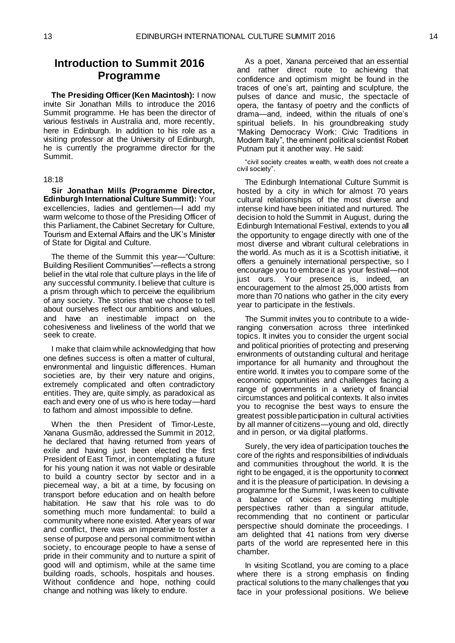## <span id="page-8-0"></span>**Introduction to Summit 2016 Programme**

**The Presiding Officer (Ken Macintosh):** I now invite Sir Jonathan Mills to introduce the 2016 Summit programme. He has been the director of various festivals in Australia and, more recently, here in Edinburgh. In addition to his role as a visiting professor at the University of Edinburgh, he is currently the programme director for the Summit.

#### 18:18

<span id="page-8-1"></span>**Sir Jonathan Mills (Programme Director, Edinburgh International Culture Summit):** Your excellencies, ladies and gentlemen—I add my warm welcome to those of the Presiding Officer of this Parliament, the Cabinet Secretary for Culture, Tourism and External Affairs and the UK's Minister of State for Digital and Culture.

The theme of the Summit this year—"Culture: Building Resilient Communities"—reflects a strong belief in the vital role that culture plays in the life of any successful community. I believe that culture is a prism through which to perceive the equilibrium of any society. The stories that we choose to tell about ourselves reflect our ambitions and values, and have an inestimable impact on the cohesiveness and liveliness of the world that we seek to create.

I make that claim while acknowledging that how one defines success is often a matter of cultural, environmental and linguistic differences. Human societies are, by their very nature and origins, extremely complicated and often contradictory entities. They are, quite simply, as paradoxical as each and every one of us who is here today—hard to fathom and almost impossible to define.

When the then President of Timor-Leste, Xanana Gusmão, addressed the Summit in 2012, he declared that having returned from years of exile and having just been elected the first President of East Timor, in contemplating a future for his young nation it was not viable or desirable to build a country sector by sector and in a piecemeal way, a bit at a time, by focusing on transport before education and on health before habitation. He saw that his role was to do something much more fundamental: to build a community where none existed. After years of war and conflict, there was an imperative to foster a sense of purpose and personal commitment within society, to encourage people to have a sense of pride in their community and to nurture a spirit of good will and optimism, while at the same time building roads, schools, hospitals and houses. Without confidence and hope, nothing could change and nothing was likely to endure.

As a poet, Xanana perceived that an essential and rather direct route to achieving that confidence and optimism might be found in the traces of one's art, painting and sculpture, the pulses of dance and music, the spectacle of opera, the fantasy of poetry and the conflicts of drama—and, indeed, within the rituals of one's spiritual beliefs. In his groundbreaking study "Making Democracy Work: Civic Traditions in Modern Italy", the eminent political scientist Robert Putnam put it another way. He said:

"civil society creates w ealth, w ealth does not create a civil society".

The Edinburgh International Culture Summit is hosted by a city in which for almost 70 years cultural relationships of the most diverse and intense kind have been initiated and nurtured. The decision to hold the Summit in August, during the Edinburgh International Festival, extends to you all the opportunity to engage directly with one of the most diverse and vibrant cultural celebrations in the world. As much as it is a Scottish initiative, it offers a genuinely international perspective, so I encourage you to embrace it as your festival—not just ours. Your presence is, indeed, an encouragement to the almost 25,000 artists from more than 70 nations who gather in the city every year to participate in the festivals.

The Summit invites you to contribute to a wideranging conversation across three interlinked topics. It invites you to consider the urgent social and political priorities of protecting and preserving environments of outstanding cultural and heritage importance for all humanity and throughout the entire world. It invites you to compare some of the economic opportunities and challenges facing a range of governments in a variety of financial circumstances and political contexts. It also invites you to recognise the best ways to ensure the greatest possible participation in cultural activities by all manner of citizens—young and old, directly and in person, or via digital platforms.

Surely, the very idea of participation touches the core of the rights and responsibilities of individuals and communities throughout the world. It is the right to be engaged, it is the opportunity to connect and it is the pleasure of participation. In devising a programme for the Summit, I was keen to cultivate a balance of voices representing multiple perspectives rather than a singular attitude, recommending that no continent or particular perspective should dominate the proceedings. I am delighted that 41 nations from very diverse parts of the world are represented here in this chamber.

In visiting Scotland, you are coming to a place where there is a strong emphasis on finding practical solutions to the many challenges that you face in your professional positions. We believe